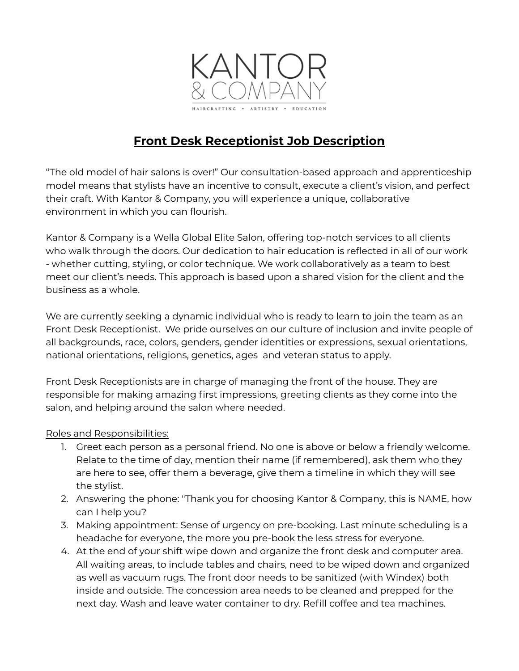

## **Front Desk Receptionist Job Description**

"The old model of hair salons is over!" Our consultation-based approach and apprenticeship model means that stylists have an incentive to consult, execute a client's vision, and perfect their craft. With Kantor & Company, you will experience a unique, collaborative environment in which you can flourish.

Kantor & Company is a Wella Global Elite Salon, offering top-notch services to all clients who walk through the doors. Our dedication to hair education is reflected in all of our work - whether cutting, styling, or color technique. We work collaboratively as a team to best meet our client's needs. This approach is based upon a shared vision for the client and the business as a whole.

We are currently seeking a dynamic individual who is ready to learn to join the team as an Front Desk Receptionist. We pride ourselves on our culture of inclusion and invite people of all backgrounds, race, colors, genders, gender identities or expressions, sexual orientations, national orientations, religions, genetics, ages and veteran status to apply.

Front Desk Receptionists are in charge of managing the front of the house. They are responsible for making amazing first impressions, greeting clients as they come into the salon, and helping around the salon where needed.

## Roles and Responsibilities:

- 1. Greet each person as a personal friend. No one is above or below a friendly welcome. Relate to the time of day, mention their name (if remembered), ask them who they are here to see, offer them a beverage, give them a timeline in which they will see the stylist.
- 2. Answering the phone: "Thank you for choosing Kantor & Company, this is NAME, how can I help you?
- 3. Making appointment: Sense of urgency on pre-booking. Last minute scheduling is a headache for everyone, the more you pre-book the less stress for everyone.
- 4. At the end of your shift wipe down and organize the front desk and computer area. All waiting areas, to include tables and chairs, need to be wiped down and organized as well as vacuum rugs. The front door needs to be sanitized (with Windex) both inside and outside. The concession area needs to be cleaned and prepped for the next day. Wash and leave water container to dry. Refill coffee and tea machines.